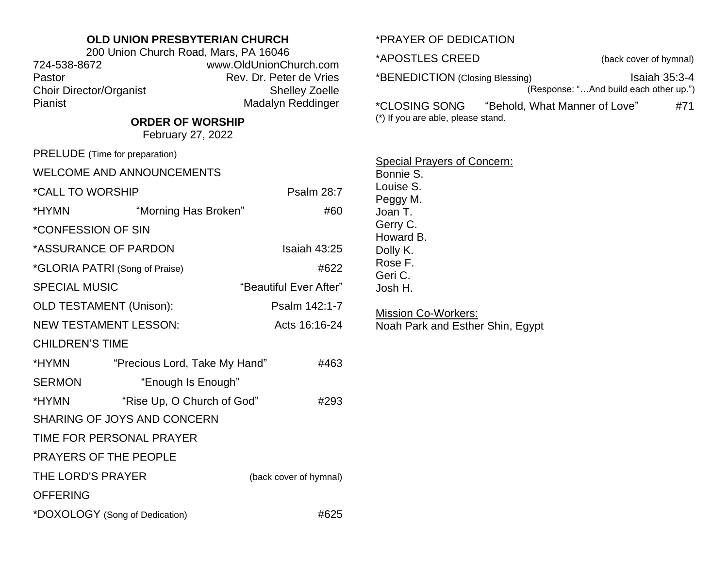## **OLD UNION PRESBYTERIAN CHURCH**

| 200 Union Church Road, Mars, PA 16046 |                         |  |
|---------------------------------------|-------------------------|--|
| 724-538-8672                          | www.OldUnionChurch.com  |  |
| Pastor                                | Rev. Dr. Peter de Vries |  |
| <b>Choir Director/Organist</b>        | <b>Shelley Zoelle</b>   |  |
| Pianist                               | Madalyn Reddinger       |  |

## **ORDER OF WORSHIP**

February 27, 2022

| PRELUDE (Time for preparation)                 |                               |                        |
|------------------------------------------------|-------------------------------|------------------------|
| <b>WELCOME AND ANNOUNCEMENTS</b>               |                               |                        |
| *CALL TO WORSHIP                               |                               | <b>Psalm 28:7</b>      |
| *HYMN                                          | "Morning Has Broken"          | #60                    |
| *CONFESSION OF SIN                             |                               |                        |
| *ASSURANCE OF PARDON<br>Isaiah 43:25           |                               |                        |
| *GLORIA PATRI (Song of Praise)<br>#622         |                               |                        |
| <b>SPECIAL MUSIC</b><br>"Beautiful Ever After" |                               |                        |
| <b>OLD TESTAMENT (Unison):</b>                 |                               | Psalm 142:1-7          |
| <b>NEW TESTAMENT LESSON:</b>                   |                               | Acts 16:16-24          |
| <b>CHILDREN'S TIME</b>                         |                               |                        |
| *HYMN                                          | "Precious Lord, Take My Hand" | #463                   |
| <b>SERMON</b>                                  | "Enough Is Enough"            |                        |
| *HYMN                                          | "Rise Up, O Church of God"    | #293                   |
| SHARING OF JOYS AND CONCERN                    |                               |                        |
| TIME FOR PERSONAL PRAYER                       |                               |                        |
| PRAYERS OF THE PEOPLE                          |                               |                        |
| THE LORD'S PRAYER                              |                               | (back cover of hymnal) |
| <b>OFFERING</b>                                |                               |                        |
| *DOXOLOGY (Song of Dedication)                 |                               | #625                   |

## \*PRAYER OF DEDICATION

\*APOSTLES CREED (back cover of hymnal)

\*BENEDICTION (Closing Blessing) Isaiah 35:3-4 (Response: "…And build each other up.")

\*CLOSING SONG "Behold, What Manner of Love" #71 (\*) If you are able, please stand.

Special Prayers of Concern:

Bonnie S. Louise S. Peggy M. Joan T. Gerry C. Howard B. Dolly K. Rose F. Geri C. Josh H.

**Mission Co-Workers:** Noah Park and Esther Shin, Egypt